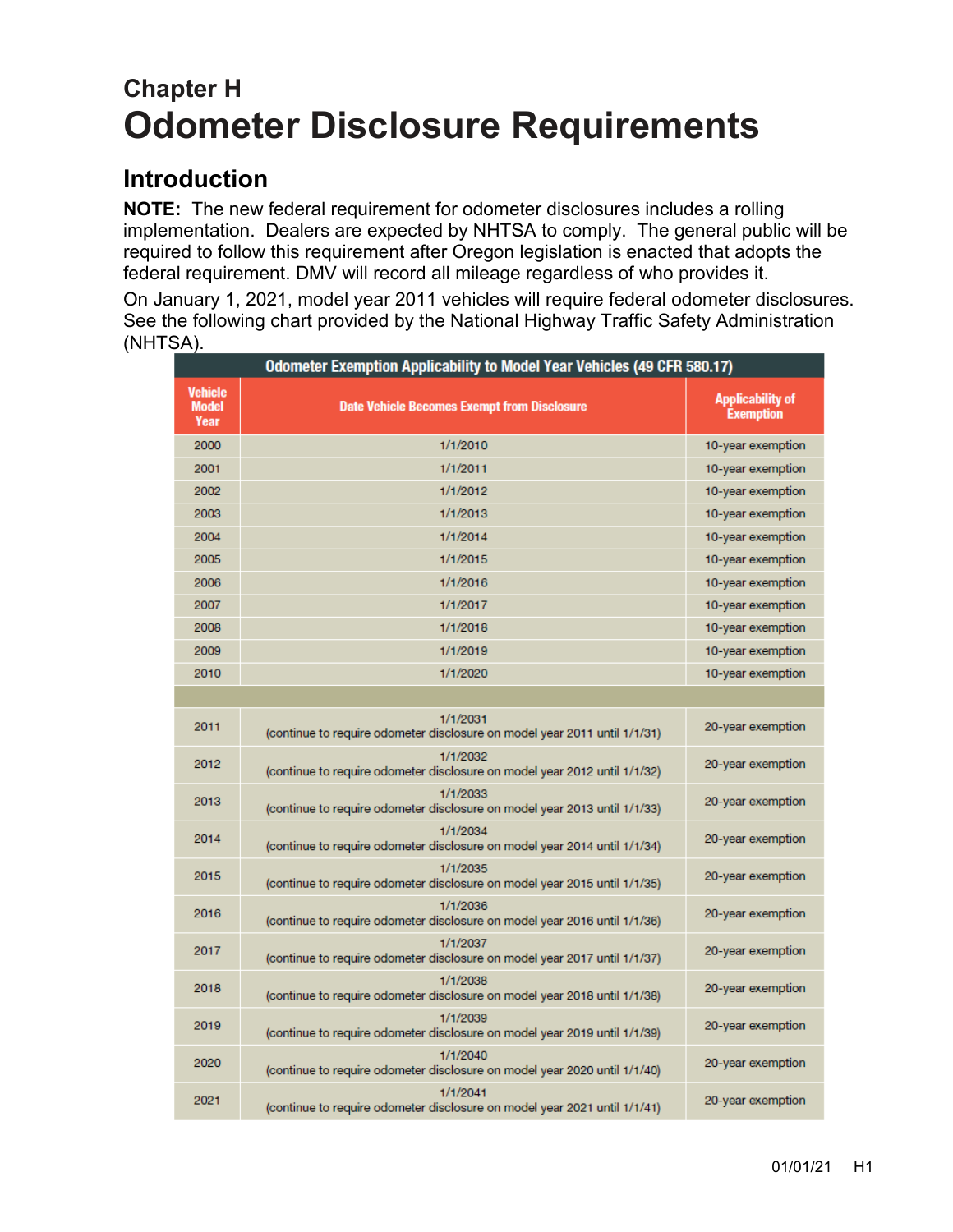# **Chapter H Odometer Disclosure Requirements**

## **Introduction**

**NOTE:** The new federal requirement for odometer disclosures includes a rolling implementation. Dealers are expected by NHTSA to comply. The general public will be required to follow this requirement after Oregon legislation is enacted that adopts the federal requirement. DMV will record all mileage regardless of who provides it.

On January 1, 2021, model year 2011 vehicles will require federal odometer disclosures. See the following chart provided by the National Highway Traffic Safety Administration (NHTSA).

| Odometer Exemption Applicability to Model Year Vehicles (49 CFR 580.17) |                                                                                       |                                             |  |  |  |  |  |
|-------------------------------------------------------------------------|---------------------------------------------------------------------------------------|---------------------------------------------|--|--|--|--|--|
| <b>Vehicle</b><br><b>Model</b><br>Year                                  | <b>Date Vehicle Becomes Exempt from Disclosure</b>                                    | <b>Applicability of</b><br><b>Exemption</b> |  |  |  |  |  |
| 2000                                                                    | 1/1/2010                                                                              | 10-year exemption                           |  |  |  |  |  |
| 2001                                                                    | 1/1/2011                                                                              | 10-year exemption                           |  |  |  |  |  |
| 2002                                                                    | 1/1/2012                                                                              | 10-year exemption                           |  |  |  |  |  |
| 2003                                                                    | 1/1/2013                                                                              | 10-year exemption                           |  |  |  |  |  |
| 2004                                                                    | 1/1/2014                                                                              | 10-year exemption                           |  |  |  |  |  |
| 2005                                                                    | 1/1/2015                                                                              | 10-year exemption                           |  |  |  |  |  |
| 2006                                                                    | 1/1/2016                                                                              | 10-year exemption                           |  |  |  |  |  |
| 2007                                                                    | 1/1/2017                                                                              | 10-year exemption                           |  |  |  |  |  |
| 2008                                                                    | 1/1/2018                                                                              | 10-year exemption                           |  |  |  |  |  |
| 2009                                                                    | 1/1/2019                                                                              | 10-year exemption                           |  |  |  |  |  |
| 2010                                                                    | 1/1/2020                                                                              | 10-year exemption                           |  |  |  |  |  |
|                                                                         |                                                                                       |                                             |  |  |  |  |  |
| 2011                                                                    | 1/1/2031<br>(continue to require odometer disclosure on model year 2011 until 1/1/31) | 20-year exemption                           |  |  |  |  |  |
| 2012                                                                    | 1/1/2032<br>(continue to require odometer disclosure on model year 2012 until 1/1/32) | 20-year exemption                           |  |  |  |  |  |
| 2013                                                                    | 1/1/2033<br>(continue to require odometer disclosure on model year 2013 until 1/1/33) | 20-year exemption                           |  |  |  |  |  |
| 2014                                                                    | 1/1/2034<br>(continue to require odometer disclosure on model year 2014 until 1/1/34) | 20-year exemption                           |  |  |  |  |  |
| 2015                                                                    | 1/1/2035<br>(continue to require odometer disclosure on model year 2015 until 1/1/35) | 20-year exemption                           |  |  |  |  |  |
| 2016                                                                    | 1/1/2036<br>(continue to require odometer disclosure on model year 2016 until 1/1/36) | 20-year exemption                           |  |  |  |  |  |
| 2017                                                                    | 1/1/2037<br>(continue to require odometer disclosure on model year 2017 until 1/1/37) | 20-year exemption                           |  |  |  |  |  |
| 2018                                                                    | 1/1/2038<br>(continue to require odometer disclosure on model year 2018 until 1/1/38) | 20-year exemption                           |  |  |  |  |  |
| 2019                                                                    | 1/1/2039<br>(continue to require odometer disclosure on model year 2019 until 1/1/39) | 20-year exemption                           |  |  |  |  |  |
| 2020                                                                    | 1/1/2040<br>(continue to require odometer disclosure on model year 2020 until 1/1/40) | 20-year exemption                           |  |  |  |  |  |
| 2021                                                                    | 1/1/2041<br>(continue to require odometer disclosure on model year 2021 until 1/1/41) | 20-year exemption                           |  |  |  |  |  |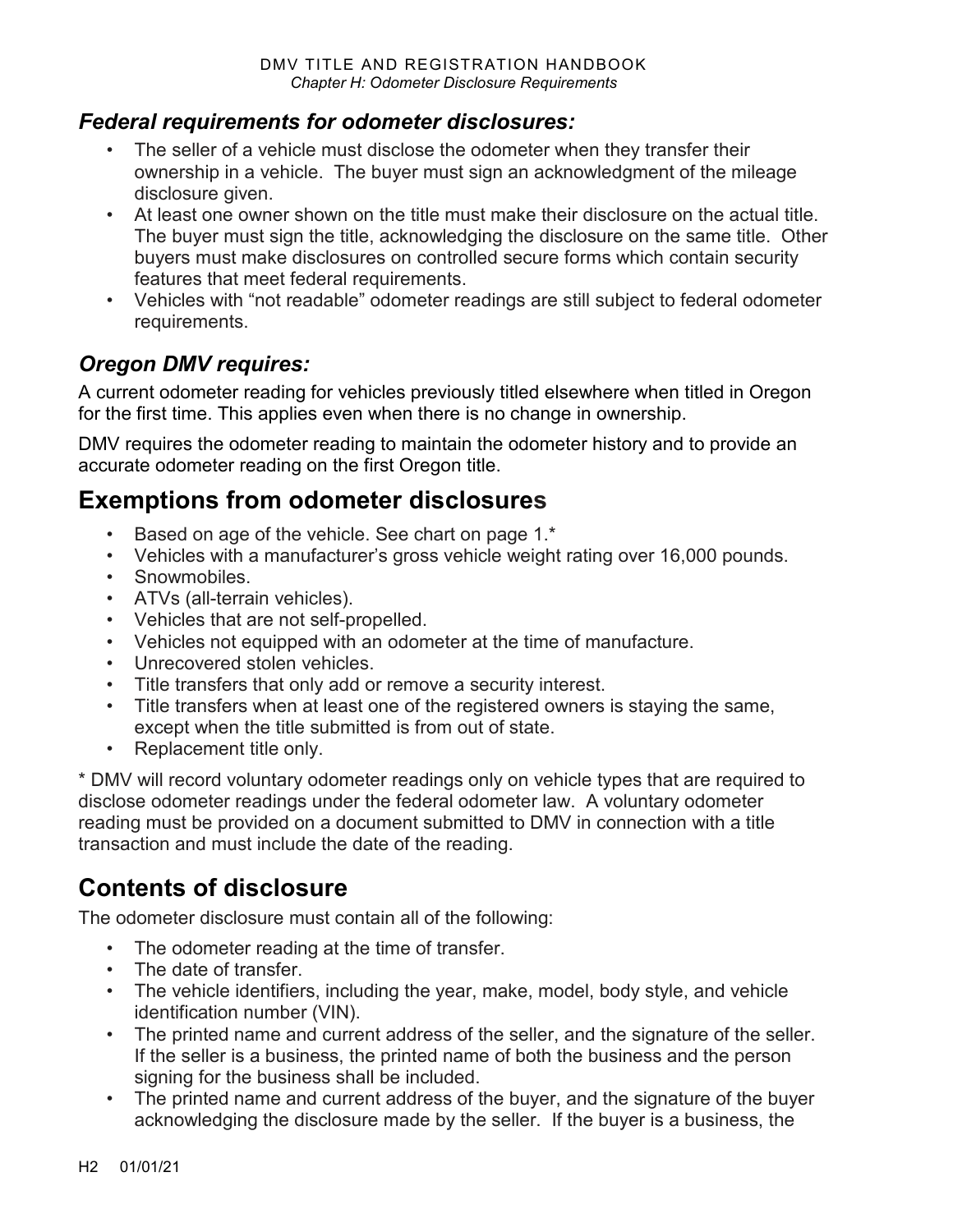#### *Federal requirements for odometer disclosures:*

- The seller of a vehicle must disclose the odometer when they transfer their ownership in a vehicle. The buyer must sign an acknowledgment of the mileage disclosure given.
- At least one owner shown on the title must make their disclosure on the actual title. The buyer must sign the title, acknowledging the disclosure on the same title. Other buyers must make disclosures on controlled secure forms which contain security features that meet federal requirements.
- Vehicles with "not readable" odometer readings are still subject to federal odometer requirements.

### *Oregon DMV requires:*

A current odometer reading for vehicles previously titled elsewhere when titled in Oregon for the first time. This applies even when there is no change in ownership.

DMV requires the odometer reading to maintain the odometer history and to provide an accurate odometer reading on the first Oregon title.

## **Exemptions from odometer disclosures**

- Based on age of the vehicle. See chart on page 1.\*
- Vehicles with a manufacturer's gross vehicle weight rating over 16,000 pounds.
- Snowmobiles.
- ATVs (all-terrain vehicles).
- Vehicles that are not self-propelled.
- Vehicles not equipped with an odometer at the time of manufacture.
- Unrecovered stolen vehicles.
- Title transfers that only add or remove a security interest.
- Title transfers when at least one of the registered owners is staying the same, except when the title submitted is from out of state.
- Replacement title only.

\* DMV will record voluntary odometer readings only on vehicle types that are required to disclose odometer readings under the federal odometer law. A voluntary odometer reading must be provided on a document submitted to DMV in connection with a title transaction and must include the date of the reading.

## <span id="page-1-0"></span>**Contents of disclosure**

The odometer disclosure must contain all of the following:

- The odometer reading at the time of transfer.
- The date of transfer.
- The vehicle identifiers, including the year, make, model, body style, and vehicle identification number (VIN).
- The printed name and current address of the seller, and the signature of the seller. If the seller is a business, the printed name of both the business and the person signing for the business shall be included.
- The printed name and current address of the buyer, and the signature of the buyer acknowledging the disclosure made by the seller. If the buyer is a business, the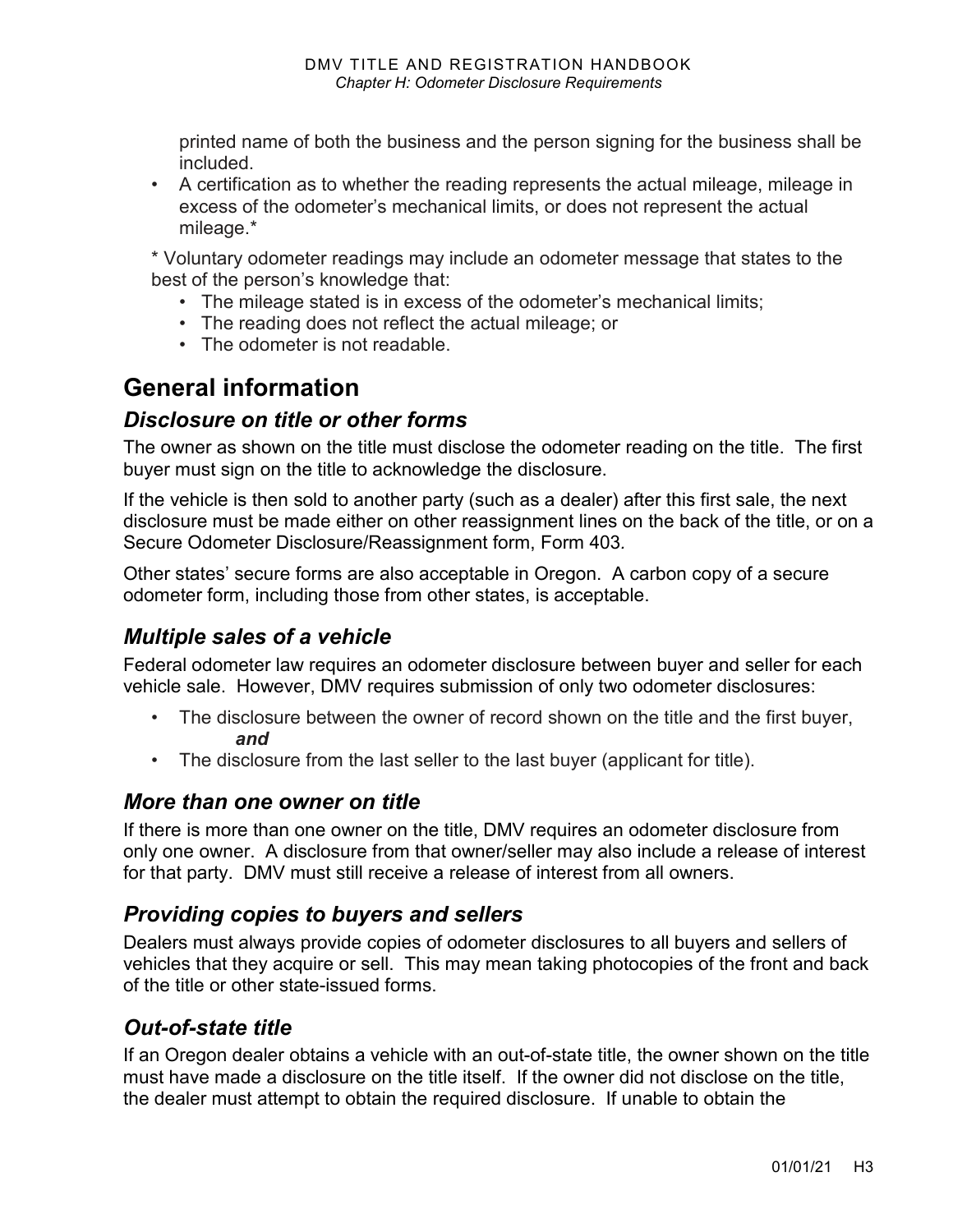printed name of both the business and the person signing for the business shall be included.

• A certification as to whether the reading represents the actual mileage, mileage in excess of the odometer's mechanical limits, or does not represent the actual mileage.\*

\* Voluntary odometer readings may include an odometer message that states to the best of the person's knowledge that:

- The mileage stated is in excess of the odometer's mechanical limits;
- The reading does not reflect the actual mileage; or
- The odometer is not readable.

## **General information**

#### *Disclosure on title or other forms*

The owner as shown on the title must disclose the odometer reading on the title. The first buyer must sign on the title to acknowledge the disclosure.

If the vehicle is then sold to another party (such as a dealer) after this first sale, the next disclosure must be made either on other reassignment lines on the back of the title, or on a Secure Odometer Disclosure/Reassignment form, Form 403*.* 

Other states' secure forms are also acceptable in Oregon. A carbon copy of a secure odometer form, including those from other states, is acceptable.

### *Multiple sales of a vehicle*

Federal odometer law requires an odometer disclosure between buyer and seller for each vehicle sale. However, DMV requires submission of only two odometer disclosures:

- The disclosure between the owner of record shown on the title and the first buyer, *and*
- The disclosure from the last seller to the last buyer (applicant for title).

#### *More than one owner on title*

If there is more than one owner on the title, DMV requires an odometer disclosure from only one owner. A disclosure from that owner/seller may also include a release of interest for that party. DMV must still receive a release of interest from all owners.

### *Providing copies to buyers and sellers*

Dealers must always provide copies of odometer disclosures to all buyers and sellers of vehicles that they acquire or sell. This may mean taking photocopies of the front and back of the title or other state-issued forms.

### *Out-of-state title*

If an Oregon dealer obtains a vehicle with an out-of-state title, the owner shown on the title must have made a disclosure on the title itself. If the owner did not disclose on the title, the dealer must attempt to obtain the required disclosure. If unable to obtain the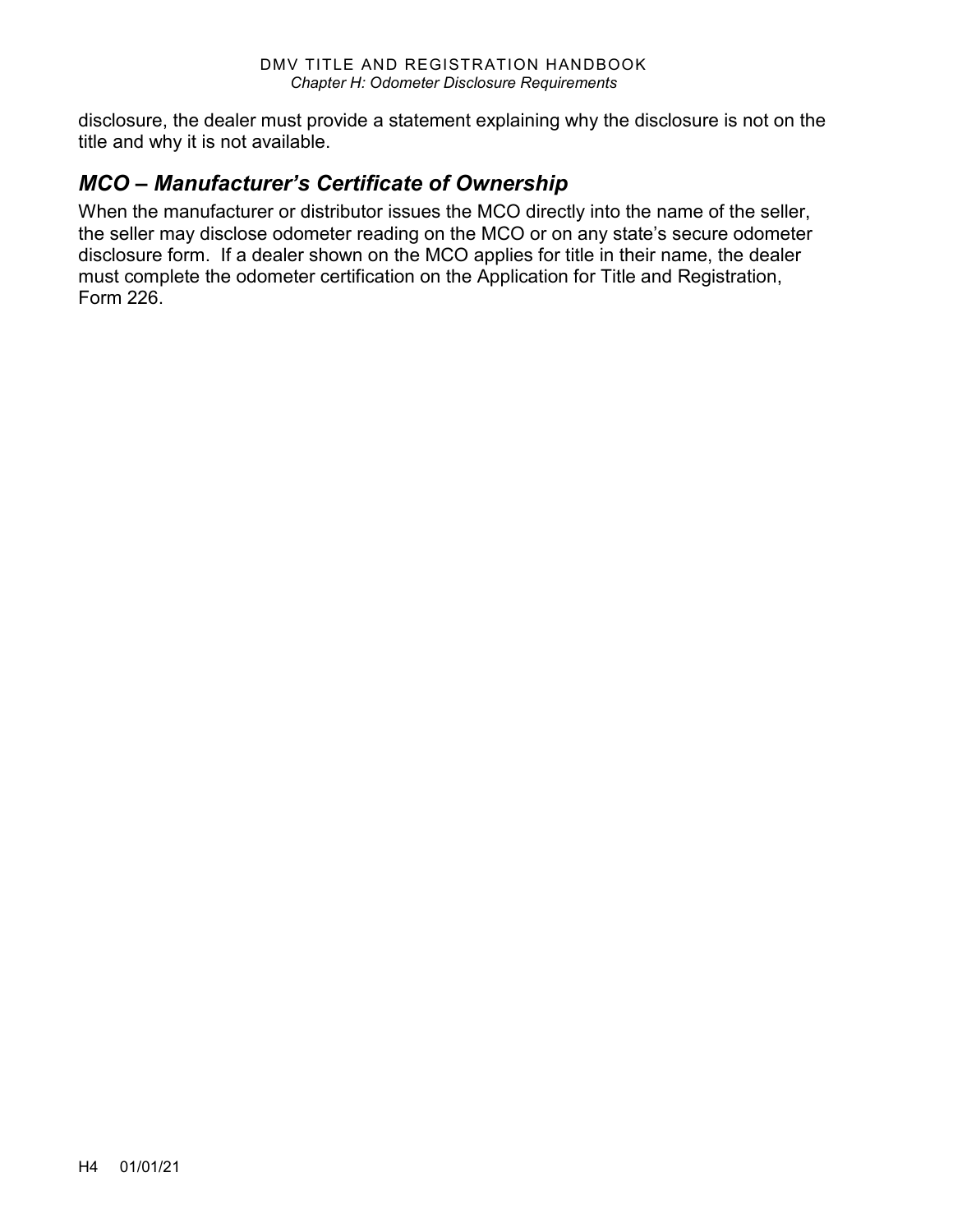disclosure, the dealer must provide a statement explaining why the disclosure is not on the title and why it is not available.

### *MCO – Manufacturer's Certificate of Ownership*

When the manufacturer or distributor issues the MCO directly into the name of the seller, the seller may disclose odometer reading on the MCO or on any state's secure odometer disclosure form. If a dealer shown on the MCO applies for title in their name, the dealer must complete the odometer certification on the Application for Title and Registration, Form 226.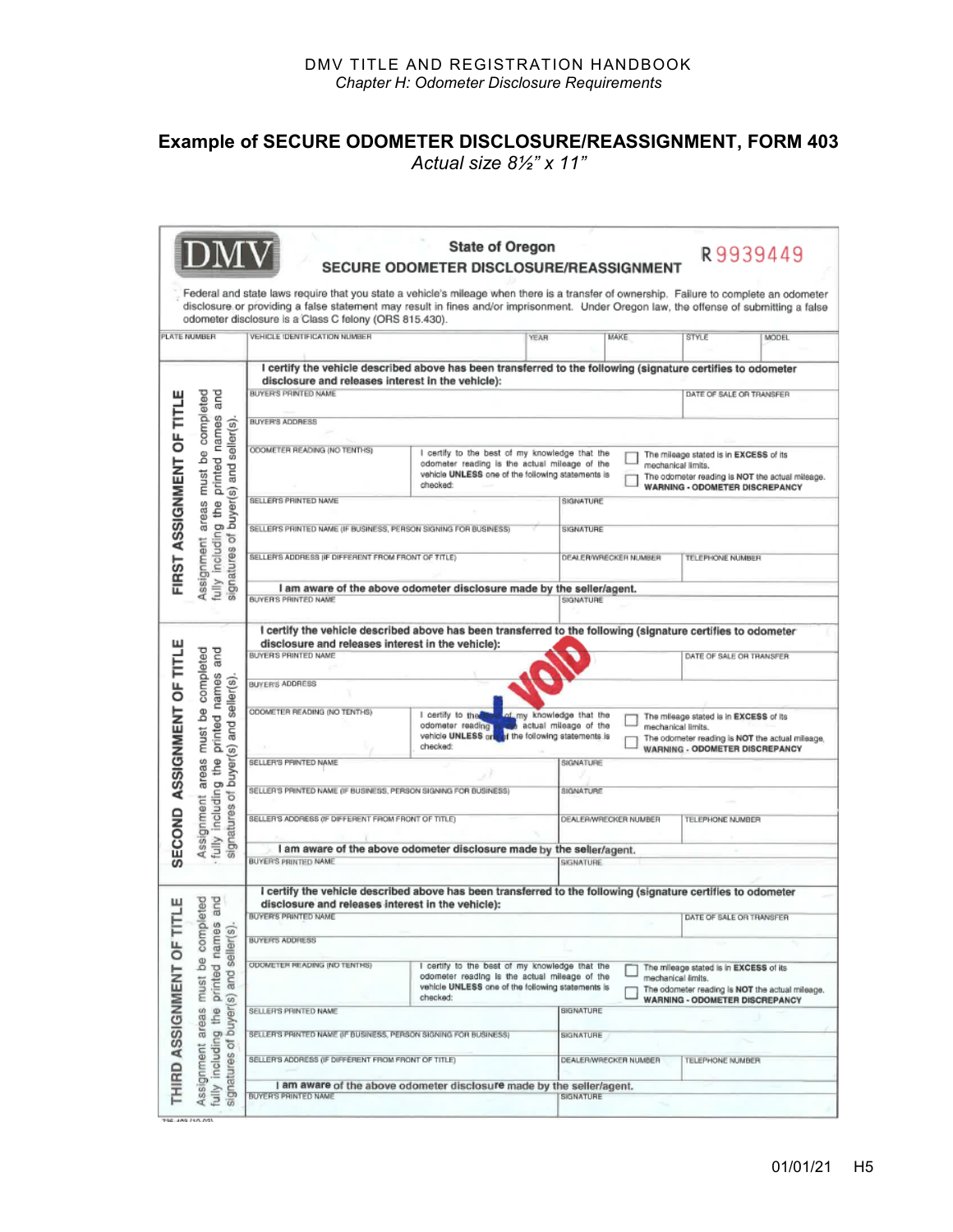#### **Example of SECURE ODOMETER DISCLOSURE/REASSIGNMENT, FORM 403**  *Actual size 8½" x 11"*

|                                |                                                                                                                         |                                                                                                                                                                                                                                                                                                                                              | <b>State of Oregon</b><br>SECURE ODOMETER DISCLOSURE/REASSIGNMENT                                                                                                |                                                   |                       |                                                                                                                                                          | R9939449     |
|--------------------------------|-------------------------------------------------------------------------------------------------------------------------|----------------------------------------------------------------------------------------------------------------------------------------------------------------------------------------------------------------------------------------------------------------------------------------------------------------------------------------------|------------------------------------------------------------------------------------------------------------------------------------------------------------------|---------------------------------------------------|-----------------------|----------------------------------------------------------------------------------------------------------------------------------------------------------|--------------|
|                                |                                                                                                                         | Federal and state laws require that you state a vehicle's mileage when there is a transfer of ownership. Failure to complete an odometer<br>disclosure or providing a false statement may result in fines and/or imprisonment. Under Oregon law, the offense of submitting a false<br>odometer disclosure is a Class C felony (ORS 815.430). |                                                                                                                                                                  |                                                   |                       |                                                                                                                                                          |              |
|                                | PLATE NUMBER                                                                                                            | VEHICLE IDENTIFICATION NUMBER                                                                                                                                                                                                                                                                                                                |                                                                                                                                                                  | <b>YEAR</b>                                       | <b>MAKE</b>           | <b>STYLE</b>                                                                                                                                             | <b>MODEL</b> |
| FIRST ASSIGNMENT OF TITLE      | completed<br>and<br>printed names<br>g the printed names<br>buyer(s) and seller(s)<br>8<br>must                         | I certify the vehicle described above has been transferred to the following (signature certifies to odometer<br>disclosure and releases interest in the vehicle):<br>BUYER'S PRINTED NAME                                                                                                                                                    |                                                                                                                                                                  |                                                   |                       |                                                                                                                                                          |              |
|                                |                                                                                                                         |                                                                                                                                                                                                                                                                                                                                              |                                                                                                                                                                  |                                                   |                       | DATE OF SALE OR TRANSFER                                                                                                                                 |              |
|                                |                                                                                                                         | <b>BUYER'S ADDRESS</b>                                                                                                                                                                                                                                                                                                                       |                                                                                                                                                                  |                                                   |                       |                                                                                                                                                          |              |
|                                |                                                                                                                         | ODOMETER READING (NO TENTHS)                                                                                                                                                                                                                                                                                                                 | I certify to the best of my knowledge that the<br>odometer reading is the actual mileage of the<br>vehicle UNLESS one of the following statements is<br>checked: |                                                   |                       | The mileage stated is in EXCESS of its<br>mechanical limits.<br>The odometer reading is NOT the actual mileage.<br><b>WARNING - ODOMETER DISCREPANCY</b> |              |
|                                |                                                                                                                         | <b>SELLER'S PRINTED NAME</b>                                                                                                                                                                                                                                                                                                                 |                                                                                                                                                                  | SIGNATURE                                         |                       |                                                                                                                                                          |              |
|                                | areas                                                                                                                   | SELLER'S PRINTED NAME (IF BUSINESS, PERSON SIGNING FOR BUSINESS)                                                                                                                                                                                                                                                                             |                                                                                                                                                                  | SIGNATURE                                         |                       |                                                                                                                                                          |              |
|                                | fully includin<br>ð<br>Assignment<br>signatures                                                                         | SELLER'S ADDRESS (IF DIFFERENT FROM FRONT OF TITLE)                                                                                                                                                                                                                                                                                          |                                                                                                                                                                  |                                                   | DEALER/WRECKER NUMBER | TELEPHONE NUMBER                                                                                                                                         |              |
|                                |                                                                                                                         |                                                                                                                                                                                                                                                                                                                                              | I am aware of the above odometer disclosure made by the seller/agent.                                                                                            |                                                   |                       |                                                                                                                                                          |              |
|                                |                                                                                                                         | BUYER'S PRINTED NAME                                                                                                                                                                                                                                                                                                                         |                                                                                                                                                                  | SIGNATURE                                         |                       |                                                                                                                                                          |              |
|                                | and<br>completed                                                                                                        | I certify the vehicle described above has been transferred to the following (signature certifies to odometer                                                                                                                                                                                                                                 |                                                                                                                                                                  |                                                   |                       |                                                                                                                                                          |              |
|                                |                                                                                                                         | disclosure and releases interest in the vehicle):<br>BUYER'S PRINTED NAME                                                                                                                                                                                                                                                                    |                                                                                                                                                                  |                                                   |                       | DATE OF SALE OR TRANSFER                                                                                                                                 |              |
|                                |                                                                                                                         | <b>BUYER'S ADDRESS</b>                                                                                                                                                                                                                                                                                                                       |                                                                                                                                                                  |                                                   |                       |                                                                                                                                                          |              |
| SECOND ASSIGNMENT OF TITLE     | printed names<br>fully including the printed names<br>signatures of buyer(s) and seller(s)<br><b>B</b><br>must<br>areas | ODOMETER READING (NO TENTHS)                                                                                                                                                                                                                                                                                                                 | I certify to the<br>odometer reading<br>ocometer reading to a actual mileage or the<br>vehicle UNLESS or the following statements is<br>checked:                 | of my knowledge that the<br>actual mileage of the |                       | The mileage stated is in EXCESS of its<br>mechanical limits.<br>The odometer reading is NOT the actual mileage,<br><b>WARNING - ODOMETER DISCREPANCY</b> |              |
|                                |                                                                                                                         | SELLER'S PRINTED NAME                                                                                                                                                                                                                                                                                                                        |                                                                                                                                                                  | SIGNATURE                                         |                       |                                                                                                                                                          |              |
|                                |                                                                                                                         | SELLER'S PRINTED NAME (IF BUSINESS, PERSON SIGNING FOR BUSINESS)                                                                                                                                                                                                                                                                             |                                                                                                                                                                  | <b>SIGNATURE</b>                                  |                       |                                                                                                                                                          |              |
| Assignment                     |                                                                                                                         | SELLER'S ADDRESS (IF DIFFERENT FROM FRONT OF TITLE)                                                                                                                                                                                                                                                                                          |                                                                                                                                                                  |                                                   | DEALER/WRECKER NUMBER | <b>TELEPHONE NUMBER</b>                                                                                                                                  |              |
|                                |                                                                                                                         |                                                                                                                                                                                                                                                                                                                                              | I am aware of the above odometer disclosure made by the seller/agent.                                                                                            |                                                   |                       |                                                                                                                                                          |              |
|                                |                                                                                                                         | <b>BUYER'S PRINTED NAME</b>                                                                                                                                                                                                                                                                                                                  |                                                                                                                                                                  | <b>SIGNATURE</b>                                  |                       |                                                                                                                                                          |              |
|                                | leted<br>and                                                                                                            | I certify the vehicle described above has been transferred to the following (signature certifies to odometer<br>disclosure and releases interest in the vehicle):                                                                                                                                                                            |                                                                                                                                                                  |                                                   |                       |                                                                                                                                                          |              |
|                                |                                                                                                                         | <b>BUYER'S PRINTED NAME</b>                                                                                                                                                                                                                                                                                                                  |                                                                                                                                                                  |                                                   |                       | DATE OF SALE OR TRANSFER                                                                                                                                 |              |
| ⊢<br><b>HIRD ASSIGNMENT OF</b> | comp                                                                                                                    | <b>BUYER'S ADDRESS</b>                                                                                                                                                                                                                                                                                                                       |                                                                                                                                                                  |                                                   |                       |                                                                                                                                                          |              |
|                                | printed names<br>and seller(s)<br>9d<br>must                                                                            | ODOMETER READING IND TENTHS)                                                                                                                                                                                                                                                                                                                 | I certify to the best of my knowledge that the<br>odometer reading is the actual mileage of the<br>vehicle UNLESS one of the following statements is<br>checked: |                                                   |                       | The mileage stated is in EXCESS of its<br>mechanical limits.<br>The odometer reading is NOT the actual mileage.<br><b>WARNING - ODOMETER DISCREPANCY</b> |              |
|                                | buyer(s)<br>the                                                                                                         | SELLER'S PRINTED NAME                                                                                                                                                                                                                                                                                                                        |                                                                                                                                                                  | SIGNATURE                                         |                       |                                                                                                                                                          |              |
|                                | areas                                                                                                                   | SELLER'S PRINTED NAME (IF BUSINESS, PERSON SIGNING FOR BUSINESS)                                                                                                                                                                                                                                                                             |                                                                                                                                                                  | SIGNATURE                                         |                       |                                                                                                                                                          |              |
|                                | including                                                                                                               | SELLER'S ADDRESS (IF DIFFERENT FROM FRONT OF TITLE)                                                                                                                                                                                                                                                                                          |                                                                                                                                                                  |                                                   | DEALER/WRECKER NUMBER | <b>TELEPHONE NUMBER</b>                                                                                                                                  |              |
|                                | signatures of<br>Assignment<br>fully                                                                                    | BUYER'S PRINTED NAME                                                                                                                                                                                                                                                                                                                         | I am aware of the above odometer disclosure made by the seller/agent.                                                                                            | SIGNATURE                                         |                       |                                                                                                                                                          |              |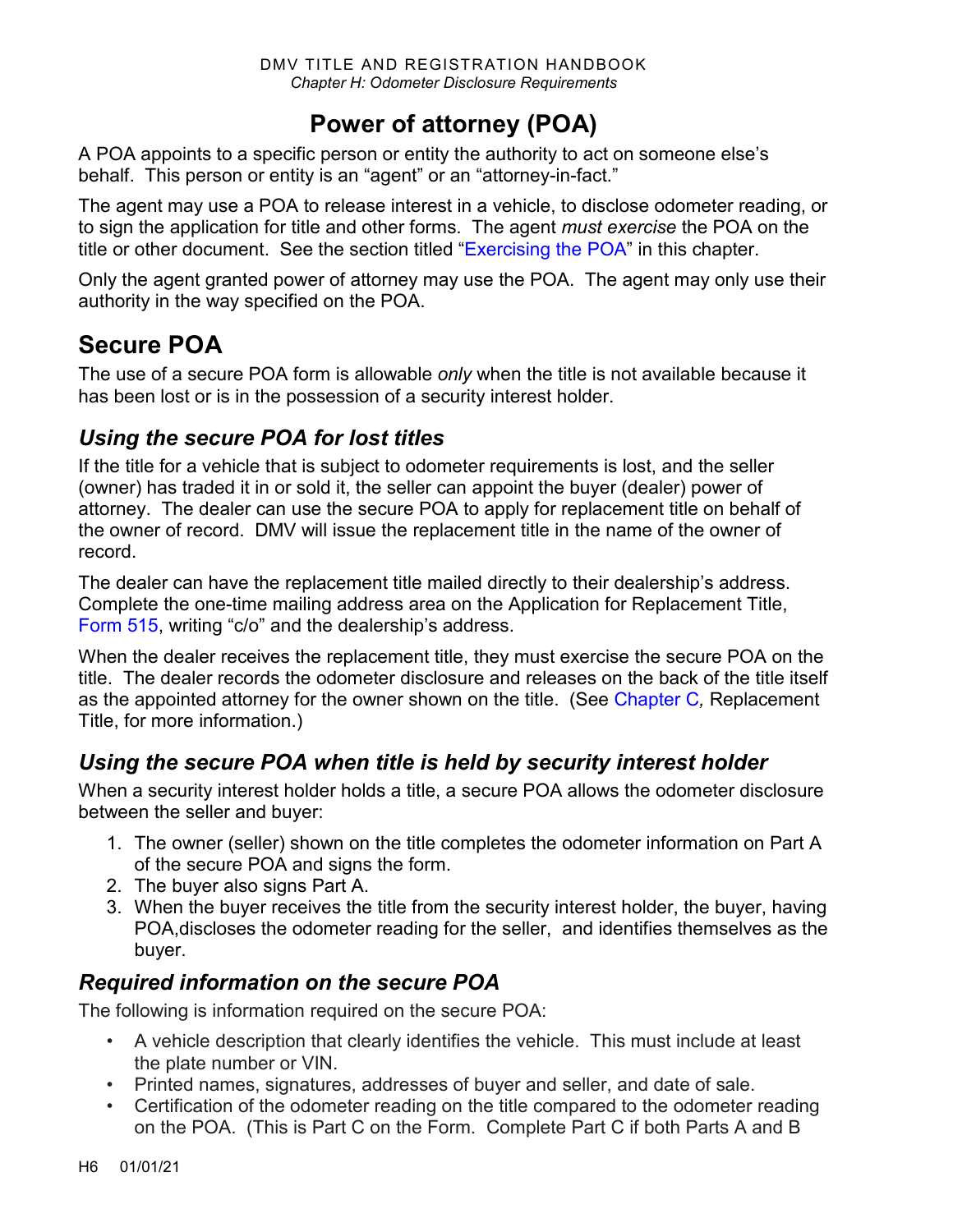## **Power of attorney (POA)**

A POA appoints to a specific person or entity the authority to act on someone else's behalf. This person or entity is an "agent" or an "attorney-in-fact."

The agent may use a POA to release interest in a vehicle, to disclose odometer reading, or to sign the application for title and other forms. The agent *must exercise* the POA on the title or other document. See the section titled ["Exercising the POA"](#page-6-0) in this chapter.

Only the agent granted power of attorney may use the POA. The agent may only use their authority in the way specified on the POA.

## **Secure POA**

The use of a secure POA form is allowable *only* when the title is not available because it has been lost or is in the possession of a security interest holder.

## *Using the secure POA for lost titles*

If the title for a vehicle that is subject to odometer requirements is lost, and the seller (owner) has traded it in or sold it, the seller can appoint the buyer (dealer) power of attorney. The dealer can use the secure POA to apply for replacement title on behalf of the owner of record. DMV will issue the replacement title in the name of the owner of record.

The dealer can have the replacement title mailed directly to their dealership's address. Complete the one-time mailing address area on the Application for Replacement Title, [Form 515,](https://www.odot.state.or.us/forms/dmv/515fill.pdf) writing "c/o" and the dealership's address.

When the dealer receives the replacement title, they must exercise the secure POA on the title. The dealer records the odometer disclosure and releases on the back of the title itself as the appointed attorney for the owner shown on the title. (See [Chapter C](https://www.oregon.gov/ODOT/DMV/docs/VTRH/Chapter_C.pdf)*,* Replacement Title, for more information.)

## *Using the secure POA when title is held by security interest holder*

When a security interest holder holds a title, a secure POA allows the odometer disclosure between the seller and buyer:

- 1. The owner (seller) shown on the title completes the odometer information on Part A of the secure POA and signs the form.
- 2. The buyer also signs Part A.
- 3. When the buyer receives the title from the security interest holder, the buyer, having POA,discloses the odometer reading for the seller, and identifies themselves as the buyer.

## *Required information on the secure POA*

The following is information required on the secure POA:

- A vehicle description that clearly identifies the vehicle. This must include at least the plate number or VIN.
- Printed names, signatures, addresses of buyer and seller, and date of sale.
- Certification of the odometer reading on the title compared to the odometer reading on the POA. (This is Part C on the Form. Complete Part C if both Parts A and B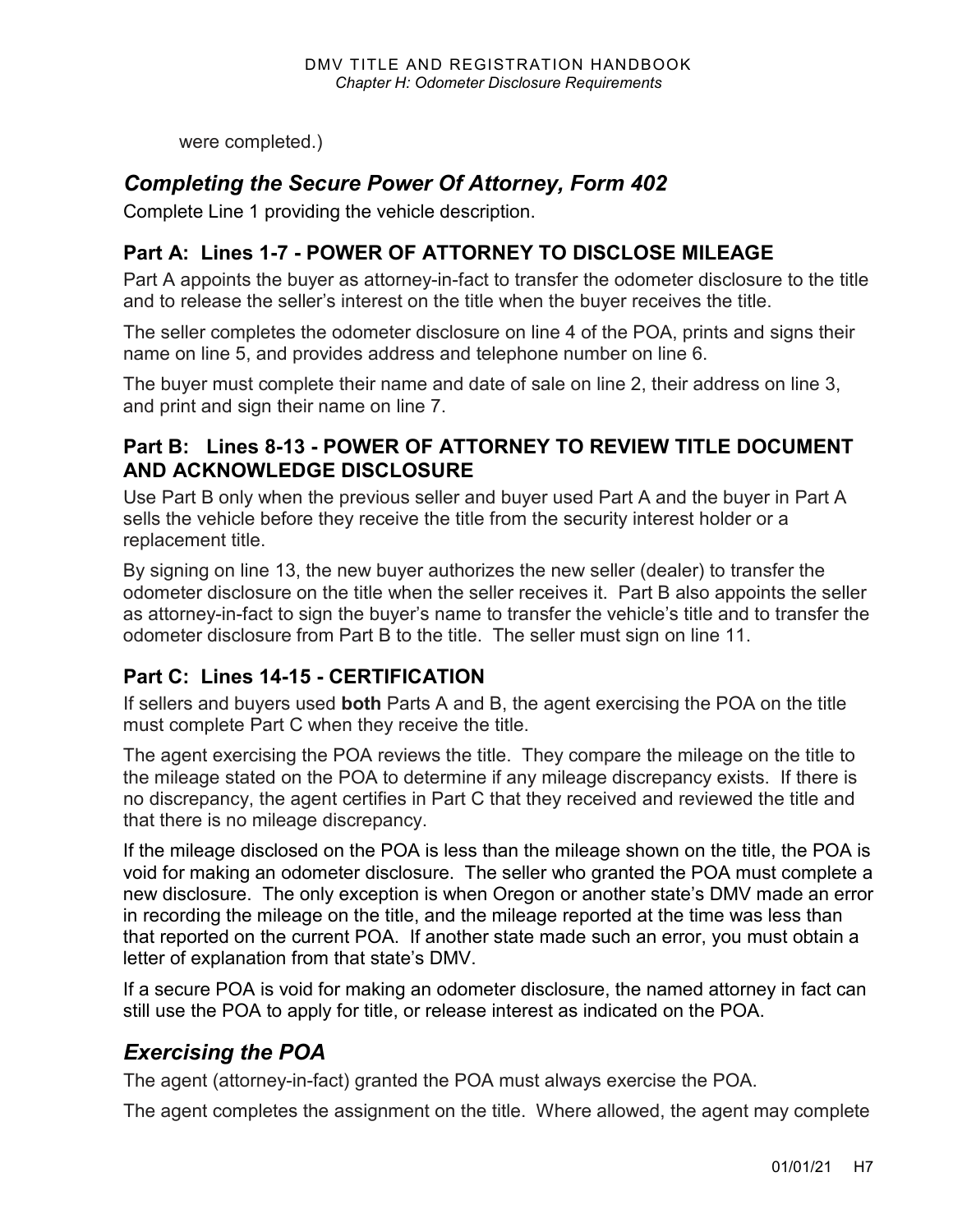were completed.)

### *Completing the Secure Power Of Attorney, Form 402*

Complete Line 1 providing the vehicle description.

#### **Part A: Lines 1-7 - POWER OF ATTORNEY TO DISCLOSE MILEAGE**

Part A appoints the buyer as attorney-in-fact to transfer the odometer disclosure to the title and to release the seller's interest on the title when the buyer receives the title.

The seller completes the odometer disclosure on line 4 of the POA, prints and signs their name on line 5, and provides address and telephone number on line 6.

The buyer must complete their name and date of sale on line 2, their address on line 3, and print and sign their name on line 7.

#### **Part B: Lines 8-13 - POWER OF ATTORNEY TO REVIEW TITLE DOCUMENT AND ACKNOWLEDGE DISCLOSURE**

Use Part B only when the previous seller and buyer used Part A and the buyer in Part A sells the vehicle before they receive the title from the security interest holder or a replacement title.

By signing on line 13, the new buyer authorizes the new seller (dealer) to transfer the odometer disclosure on the title when the seller receives it. Part B also appoints the seller as attorney-in-fact to sign the buyer's name to transfer the vehicle's title and to transfer the odometer disclosure from Part B to the title. The seller must sign on line 11.

#### **Part C: Lines 14-15 - CERTIFICATION**

If sellers and buyers used **both** Parts A and B, the agent exercising the POA on the title must complete Part C when they receive the title.

The agent exercising the POA reviews the title. They compare the mileage on the title to the mileage stated on the POA to determine if any mileage discrepancy exists. If there is no discrepancy, the agent certifies in Part C that they received and reviewed the title and that there is no mileage discrepancy.

If the mileage disclosed on the POA is less than the mileage shown on the title, the POA is void for making an odometer disclosure. The seller who granted the POA must complete a new disclosure. The only exception is when Oregon or another state's DMV made an error in recording the mileage on the title, and the mileage reported at the time was less than that reported on the current POA. If another state made such an error, you must obtain a letter of explanation from that state's DMV.

If a secure POA is void for making an odometer disclosure, the named attorney in fact can still use the POA to apply for title, or release interest as indicated on the POA.

### <span id="page-6-0"></span>*Exercising the POA*

The agent (attorney-in-fact) granted the POA must always exercise the POA.

The agent completes the assignment on the title. Where allowed, the agent may complete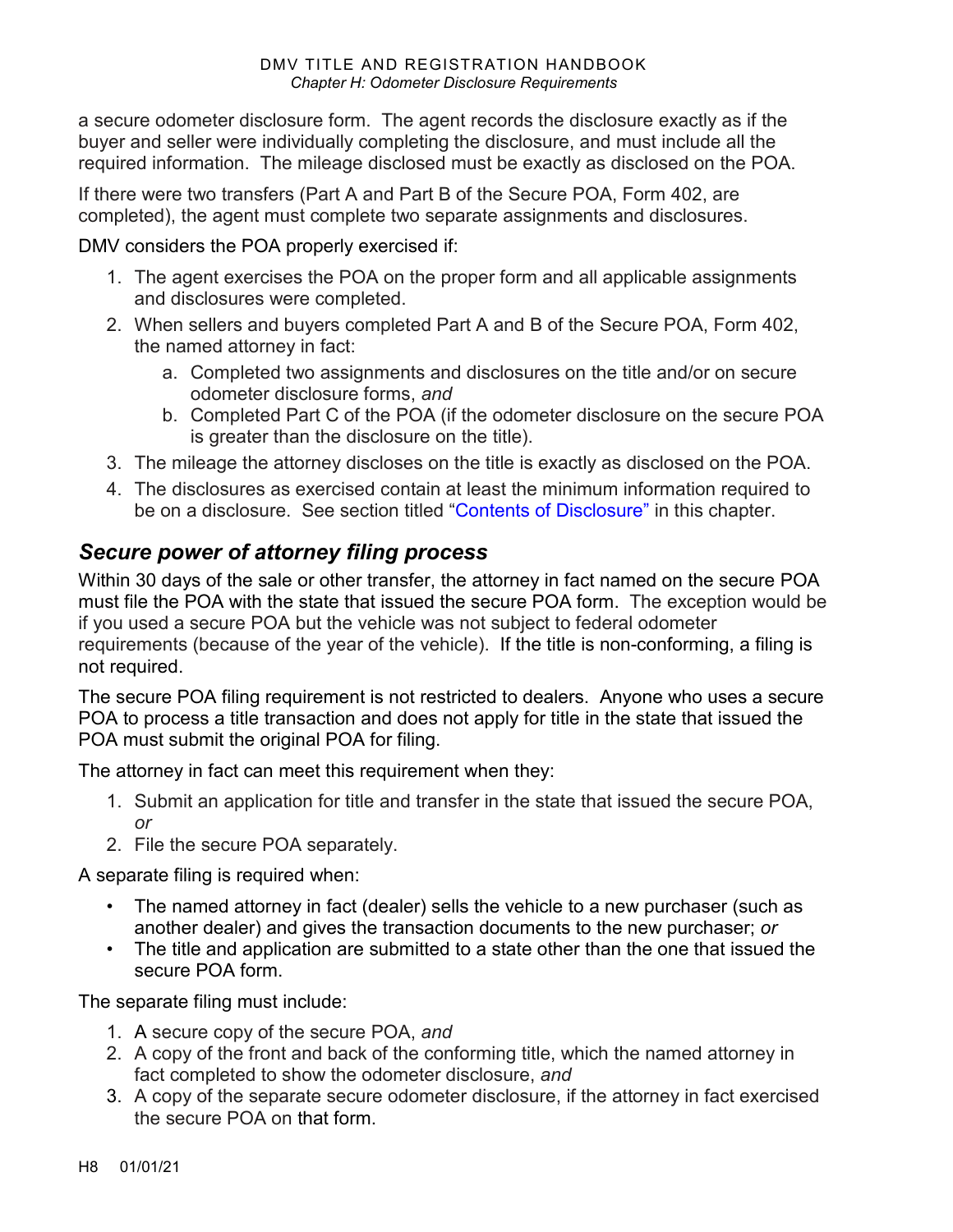#### DMV TITLE AND REGISTRATION HANDBOOK *Chapter H: Odometer Disclosure Requirements*

a secure odometer disclosure form. The agent records the disclosure exactly as if the buyer and seller were individually completing the disclosure, and must include all the required information. The mileage disclosed must be exactly as disclosed on the POA.

If there were two transfers (Part A and Part B of the Secure POA, Form 402, are completed), the agent must complete two separate assignments and disclosures.

DMV considers the POA properly exercised if:

- 1. The agent exercises the POA on the proper form and all applicable assignments and disclosures were completed.
- 2. When sellers and buyers completed Part A and B of the Secure POA, Form 402, the named attorney in fact:
	- a. Completed two assignments and disclosures on the title and/or on secure odometer disclosure forms, *and*
	- b. Completed Part C of the POA (if the odometer disclosure on the secure POA is greater than the disclosure on the title).
- 3. The mileage the attorney discloses on the title is exactly as disclosed on the POA.
- 4. The disclosures as exercised contain at least the minimum information required to be on a disclosure. See section titled ["Contents of Disclosure"](#page-1-0) in this chapter.

### *Secure power of attorney filing process*

Within 30 days of the sale or other transfer, the attorney in fact named on the secure POA must file the POA with the state that issued the secure POA form. The exception would be if you used a secure POA but the vehicle was not subject to federal odometer requirements (because of the year of the vehicle). If the title is non-conforming, a filing is not required.

The secure POA filing requirement is not restricted to dealers. Anyone who uses a secure POA to process a title transaction and does not apply for title in the state that issued the POA must submit the original POA for filing.

The attorney in fact can meet this requirement when they:

- 1. Submit an application for title and transfer in the state that issued the secure POA, *or*
- 2. File the secure POA separately.

A separate filing is required when:

- The named attorney in fact (dealer) sells the vehicle to a new purchaser (such as another dealer) and gives the transaction documents to the new purchaser; *or*
- The title and application are submitted to a state other than the one that issued the secure POA form.

The separate filing must include:

- 1. A secure copy of the secure POA, *and*
- 2. A copy of the front and back of the conforming title, which the named attorney in fact completed to show the odometer disclosure, *and*
- 3. A copy of the separate secure odometer disclosure, if the attorney in fact exercised the secure POA on that form.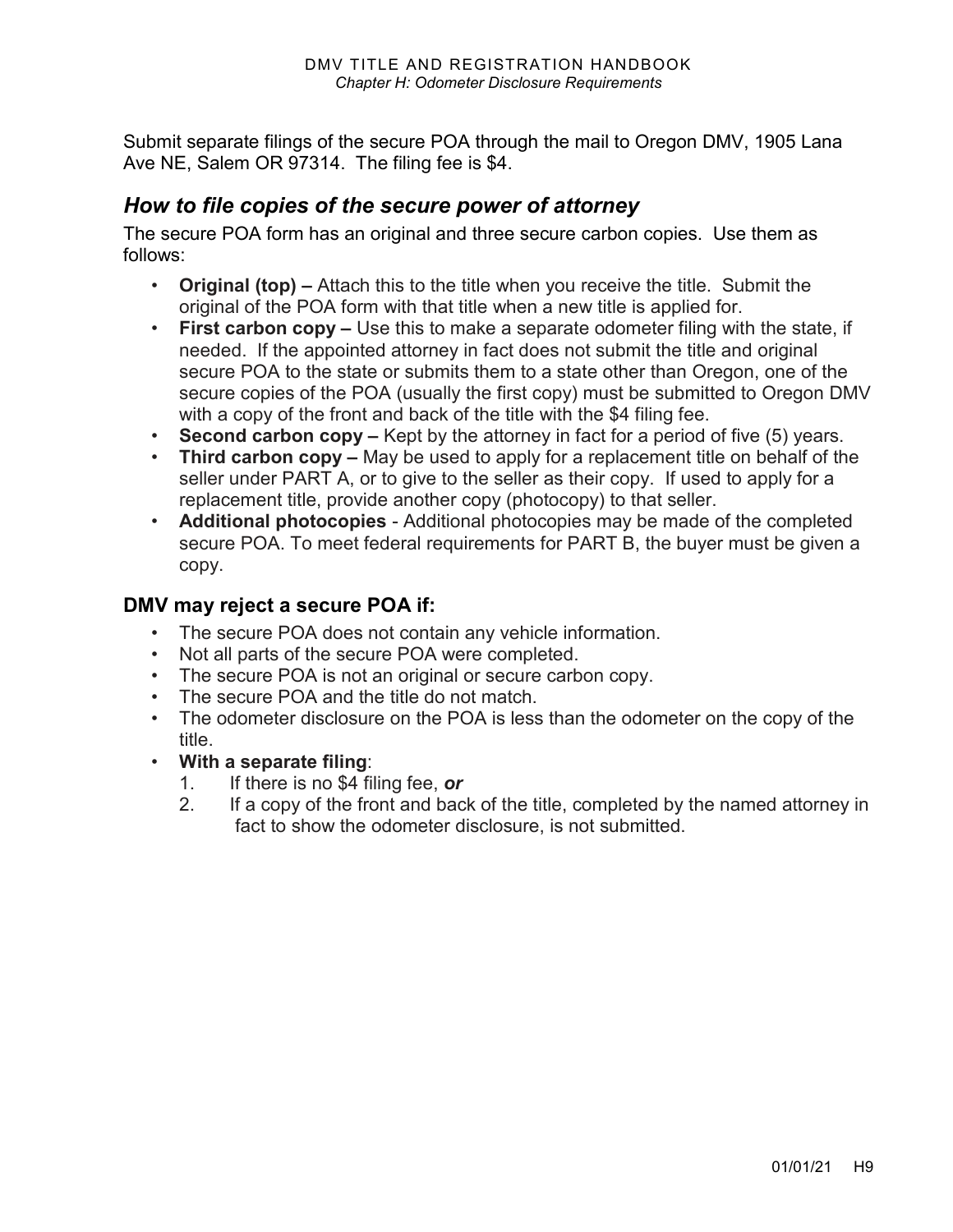Submit separate filings of the secure POA through the mail to Oregon DMV, 1905 Lana Ave NE, Salem OR 97314. The filing fee is \$4.

#### *How to file copies of the secure power of attorney*

The secure POA form has an original and three secure carbon copies. Use them as follows:

- **Original (top) –** Attach this to the title when you receive the title. Submit the original of the POA form with that title when a new title is applied for.
- **First carbon copy –** Use this to make a separate odometer filing with the state, if needed. If the appointed attorney in fact does not submit the title and original secure POA to the state or submits them to a state other than Oregon, one of the secure copies of the POA (usually the first copy) must be submitted to Oregon DMV with a copy of the front and back of the title with the \$4 filing fee.
- **Second carbon copy –** Kept by the attorney in fact for a period of five (5) years.
- **Third carbon copy –** May be used to apply for a replacement title on behalf of the seller under PART A, or to give to the seller as their copy. If used to apply for a replacement title, provide another copy (photocopy) to that seller.
- **Additional photocopies**  Additional photocopies may be made of the completed secure POA. To meet federal requirements for PART B, the buyer must be given a copy.

#### **DMV may reject a secure POA if:**

- The secure POA does not contain any vehicle information.
- Not all parts of the secure POA were completed.
- The secure POA is not an original or secure carbon copy.
- The secure POA and the title do not match.
- The odometer disclosure on the POA is less than the odometer on the copy of the title.
- **With a separate filing**:
	- 1. If there is no \$4 filing fee, *or*
	- 2. If a copy of the front and back of the title, completed by the named attorney in fact to show the odometer disclosure, is not submitted.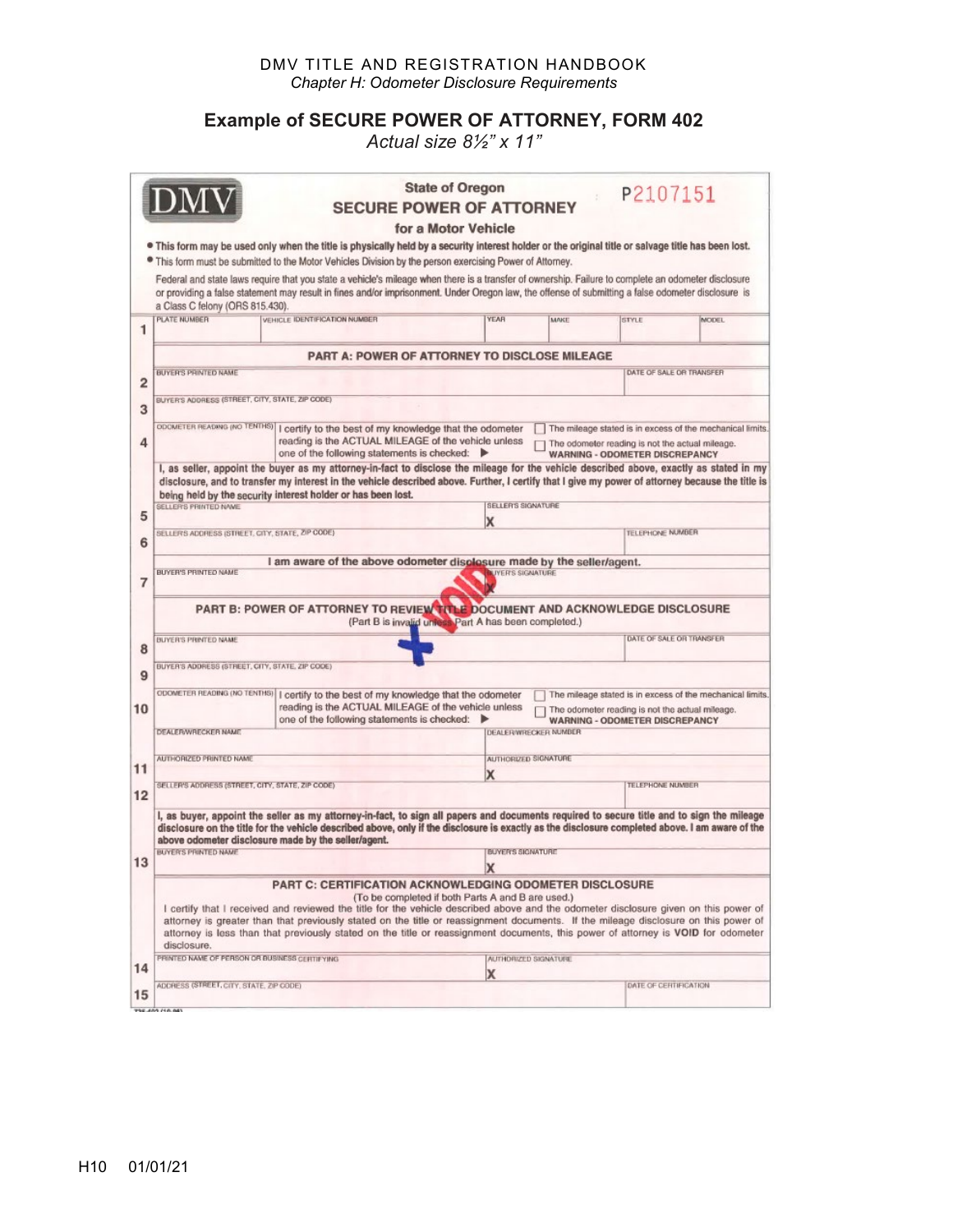#### DMV TITLE AND REGISTRATION HANDBOOK *Chapter H: Odometer Disclosure Requirements*

#### **Example of SECURE POWER OF ATTORNEY, FORM 402**

*Actual size 8½" x 11"*

|                                                      |                                                                                                                                                                                                                                                                                                              | <b>SECURE POWER OF ATTORNEY</b>                                                                                                                                                                                                                                                                                                                                                                                                                                                                                                      | <b>State of Oregon</b>   |                             | P2107151                                                                                 |                                                           |  |  |
|------------------------------------------------------|--------------------------------------------------------------------------------------------------------------------------------------------------------------------------------------------------------------------------------------------------------------------------------------------------------------|--------------------------------------------------------------------------------------------------------------------------------------------------------------------------------------------------------------------------------------------------------------------------------------------------------------------------------------------------------------------------------------------------------------------------------------------------------------------------------------------------------------------------------------|--------------------------|-----------------------------|------------------------------------------------------------------------------------------|-----------------------------------------------------------|--|--|
|                                                      |                                                                                                                                                                                                                                                                                                              |                                                                                                                                                                                                                                                                                                                                                                                                                                                                                                                                      | for a Motor Vehicle      |                             |                                                                                          |                                                           |  |  |
|                                                      |                                                                                                                                                                                                                                                                                                              | . This form may be used only when the title is physically held by a security interest holder or the original title or salvage title has been lost.                                                                                                                                                                                                                                                                                                                                                                                   |                          |                             |                                                                                          |                                                           |  |  |
|                                                      |                                                                                                                                                                                                                                                                                                              | • This form must be submitted to the Motor Vehicles Division by the person exercising Power of Attorney.                                                                                                                                                                                                                                                                                                                                                                                                                             |                          |                             |                                                                                          |                                                           |  |  |
|                                                      | a Class C felony (ORS 815.430).                                                                                                                                                                                                                                                                              | Federal and state laws require that you state a vehicle's mileage when there is a transfer of ownership. Failure to complete an odometer disclosure<br>or providing a false statement may result in fines and/or imprisonment. Under Oregon law, the offense of submitting a false odometer disclosure is                                                                                                                                                                                                                            |                          |                             |                                                                                          |                                                           |  |  |
| 1                                                    | PLATE NUMBER                                                                                                                                                                                                                                                                                                 | VEHICLE IDENTIFICATION NUMBER                                                                                                                                                                                                                                                                                                                                                                                                                                                                                                        | YEAR                     | MAKE                        | STYLE                                                                                    | <b>MODEL</b>                                              |  |  |
| <b>PART A: POWER OF ATTORNEY TO DISCLOSE MILEAGE</b> |                                                                                                                                                                                                                                                                                                              |                                                                                                                                                                                                                                                                                                                                                                                                                                                                                                                                      |                          |                             |                                                                                          |                                                           |  |  |
| 2                                                    | <b>BUYER'S PRINTED NAME</b>                                                                                                                                                                                                                                                                                  |                                                                                                                                                                                                                                                                                                                                                                                                                                                                                                                                      |                          |                             |                                                                                          | DATE OF SALE OR TRANSFER                                  |  |  |
| 3                                                    |                                                                                                                                                                                                                                                                                                              | BUYER'S ADDRESS (STREET, CITY, STATE, ZIP CODE)                                                                                                                                                                                                                                                                                                                                                                                                                                                                                      |                          |                             |                                                                                          |                                                           |  |  |
| 4                                                    | ODOMETER READING (NO TENTHS)   certify to the best of my knowledge that the odometer<br>The mileage stated is in excess of the mechanical limits.<br>reading is the ACTUAL MILEAGE of the vehicle unless<br>The odometer reading is not the actual mileage.<br>one of the following statements is checked: ▶ |                                                                                                                                                                                                                                                                                                                                                                                                                                                                                                                                      |                          |                             | <b>WARNING - ODOMETER DISCREPANCY</b>                                                    |                                                           |  |  |
|                                                      |                                                                                                                                                                                                                                                                                                              | I, as seller, appoint the buyer as my attorney-in-fact to disclose the mileage for the vehicle described above, exactly as stated in my                                                                                                                                                                                                                                                                                                                                                                                              |                          |                             |                                                                                          |                                                           |  |  |
|                                                      |                                                                                                                                                                                                                                                                                                              | disclosure, and to transfer my interest in the vehicle described above. Further, I certify that I give my power of attorney because the title is<br>being held by the security interest holder or has been lost.                                                                                                                                                                                                                                                                                                                     |                          |                             |                                                                                          |                                                           |  |  |
| 5                                                    | SELLER'S PRINTED NAME                                                                                                                                                                                                                                                                                        | SELLER'S SIGNATURE<br>X                                                                                                                                                                                                                                                                                                                                                                                                                                                                                                              |                          |                             |                                                                                          |                                                           |  |  |
| 6                                                    |                                                                                                                                                                                                                                                                                                              | SELLER'S ADDRESS (STREET, CITY, STATE, ZIP CODE)                                                                                                                                                                                                                                                                                                                                                                                                                                                                                     |                          | <b>TELEPHONE NUMBER</b>     |                                                                                          |                                                           |  |  |
|                                                      |                                                                                                                                                                                                                                                                                                              | I am aware of the above odometer displosure made by the seller/agent.                                                                                                                                                                                                                                                                                                                                                                                                                                                                |                          |                             |                                                                                          |                                                           |  |  |
| 7                                                    | BUYER'S PRINTED NAME<br><b>LIVER'S SIGNATURE</b>                                                                                                                                                                                                                                                             |                                                                                                                                                                                                                                                                                                                                                                                                                                                                                                                                      |                          |                             |                                                                                          |                                                           |  |  |
|                                                      | PART B: POWER OF ATTORNEY TO REVIEW TITLE DOCUMENT AND ACKNOWLEDGE DISCLOSURE<br>(Part B is invalid unless Part A has been completed.)                                                                                                                                                                       |                                                                                                                                                                                                                                                                                                                                                                                                                                                                                                                                      |                          |                             |                                                                                          |                                                           |  |  |
| 8                                                    | BUYER'S PRINTED NAME                                                                                                                                                                                                                                                                                         |                                                                                                                                                                                                                                                                                                                                                                                                                                                                                                                                      |                          |                             |                                                                                          | DATE OF SALE OR TRANSFER                                  |  |  |
|                                                      | BUYER'S ADDRESS (STREET, CITY, STATE, ZIP CODE)                                                                                                                                                                                                                                                              |                                                                                                                                                                                                                                                                                                                                                                                                                                                                                                                                      |                          |                             |                                                                                          |                                                           |  |  |
|                                                      |                                                                                                                                                                                                                                                                                                              |                                                                                                                                                                                                                                                                                                                                                                                                                                                                                                                                      |                          |                             |                                                                                          |                                                           |  |  |
|                                                      |                                                                                                                                                                                                                                                                                                              |                                                                                                                                                                                                                                                                                                                                                                                                                                                                                                                                      |                          |                             |                                                                                          | The mileage stated is in excess of the mechanical limits. |  |  |
|                                                      |                                                                                                                                                                                                                                                                                                              | ODOMETER READING (NO TENTHS)   certify to the best of my knowledge that the odometer<br>reading is the ACTUAL MILEAGE of the vehicle unless<br>one of the following statements is checked:                                                                                                                                                                                                                                                                                                                                           |                          |                             | The odometer reading is not the actual mileage.<br><b>WARNING - ODOMETER DISCREPANCY</b> |                                                           |  |  |
|                                                      | DEALER/WRECKER NAME                                                                                                                                                                                                                                                                                          |                                                                                                                                                                                                                                                                                                                                                                                                                                                                                                                                      |                          | <b>DEALERWRECKER NUMBER</b> |                                                                                          |                                                           |  |  |
|                                                      | AUTHORIZED PRINTED NAME                                                                                                                                                                                                                                                                                      |                                                                                                                                                                                                                                                                                                                                                                                                                                                                                                                                      |                          | AUTHORIZED SIGNATURE        |                                                                                          |                                                           |  |  |
|                                                      |                                                                                                                                                                                                                                                                                                              |                                                                                                                                                                                                                                                                                                                                                                                                                                                                                                                                      | x                        |                             |                                                                                          |                                                           |  |  |
|                                                      | SELLER'S ADDRESS (STREET, CITY, STATE, ZIP CODE)                                                                                                                                                                                                                                                             |                                                                                                                                                                                                                                                                                                                                                                                                                                                                                                                                      |                          |                             | TELEPHONE NUMBER                                                                         |                                                           |  |  |
|                                                      |                                                                                                                                                                                                                                                                                                              | I, as buyer, appoint the seller as my attorney-in-fact, to sign all papers and documents required to secure title and to sign the mileage<br>disclosure on the title for the vehicle described above, only if the disclosure is exactly as the disclosure completed above. I am aware of the<br>above odometer disclosure made by the seller/agent.                                                                                                                                                                                  |                          |                             |                                                                                          |                                                           |  |  |
| 9<br>10<br>11<br>12<br>13                            | <b>BUYER'S PRINTED NAME</b>                                                                                                                                                                                                                                                                                  |                                                                                                                                                                                                                                                                                                                                                                                                                                                                                                                                      | <b>BUYER'S SIGNATURE</b> |                             |                                                                                          |                                                           |  |  |
|                                                      | disclosure.                                                                                                                                                                                                                                                                                                  | <b>PART C: CERTIFICATION ACKNOWLEDGING ODOMETER DISCLOSURE</b><br>(To be completed if both Parts A and B are used.)<br>I certify that I received and reviewed the title for the vehicle described above and the odometer disclosure given on this power of<br>attorney is greater than that previously stated on the title or reassignment documents. If the mileage disclosure on this power of<br>attorney is less than that previously stated on the title or reassignment documents, this power of attorney is VOID for odometer | X                        |                             |                                                                                          |                                                           |  |  |
| 14                                                   | PRINTED NAME OF PERSON OR BUSINESS CERTIFYING                                                                                                                                                                                                                                                                |                                                                                                                                                                                                                                                                                                                                                                                                                                                                                                                                      |                          | AUTHORIZED SIGNATURE        |                                                                                          |                                                           |  |  |
| 15                                                   | ADDRESS (STREET, CITY, STATE, ZIP CODE)                                                                                                                                                                                                                                                                      |                                                                                                                                                                                                                                                                                                                                                                                                                                                                                                                                      | х                        |                             | DATE OF CERTIFICATION                                                                    |                                                           |  |  |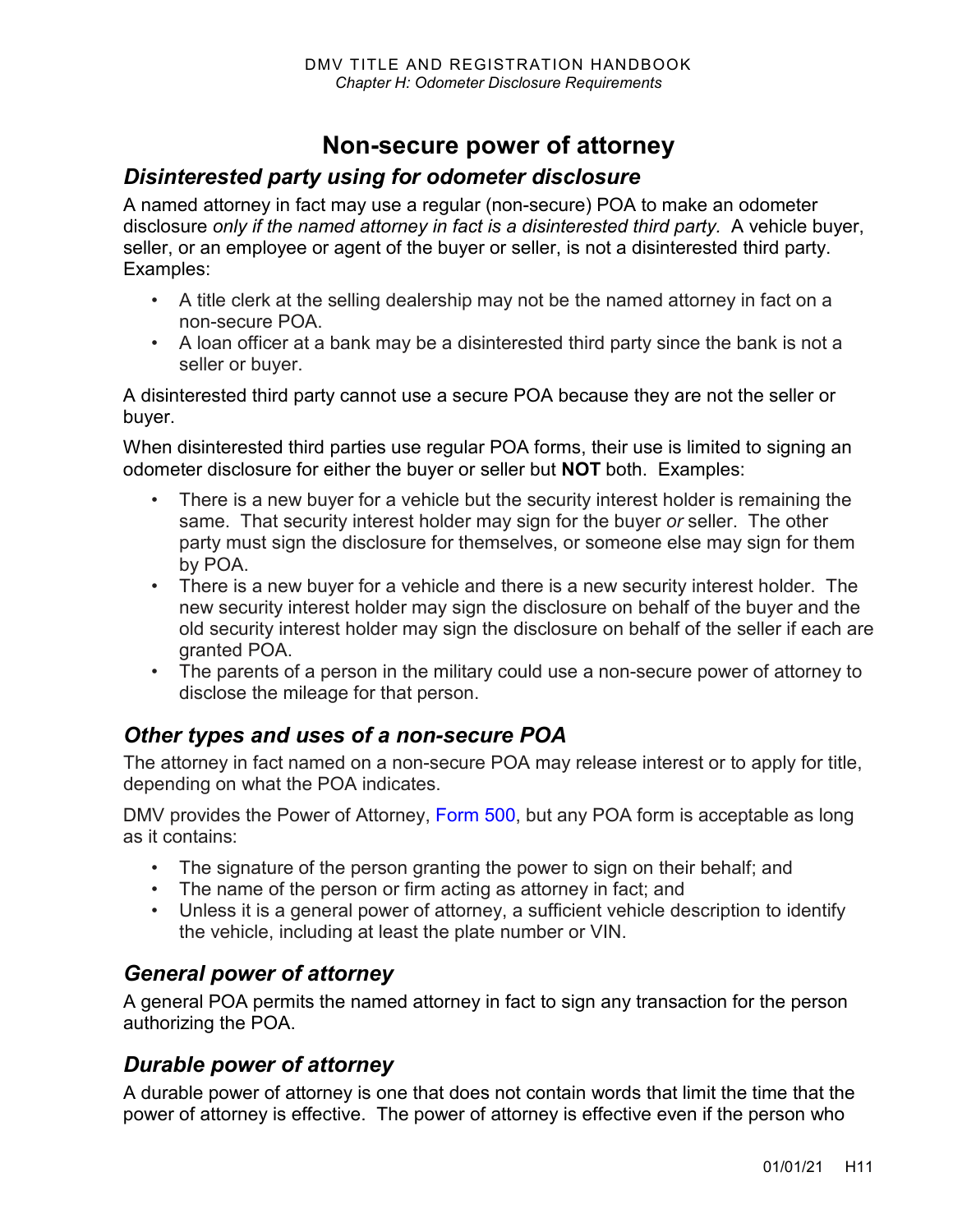## **Non-secure power of attorney**

#### *Disinterested party using for odometer disclosure*

A named attorney in fact may use a regular (non-secure) POA to make an odometer disclosure *only if the named attorney in fact is a disinterested third party.* A vehicle buyer, seller, or an employee or agent of the buyer or seller, is not a disinterested third party. Examples:

- A title clerk at the selling dealership may not be the named attorney in fact on a non-secure POA.
- A loan officer at a bank may be a disinterested third party since the bank is not a seller or buyer.

A disinterested third party cannot use a secure POA because they are not the seller or buyer.

When disinterested third parties use regular POA forms, their use is limited to signing an odometer disclosure for either the buyer or seller but **NOT** both. Examples:

- There is a new buyer for a vehicle but the security interest holder is remaining the same. That security interest holder may sign for the buyer *or* seller. The other party must sign the disclosure for themselves, or someone else may sign for them by POA.
- There is a new buyer for a vehicle and there is a new security interest holder. The new security interest holder may sign the disclosure on behalf of the buyer and the old security interest holder may sign the disclosure on behalf of the seller if each are granted POA.
- The parents of a person in the military could use a non-secure power of attorney to disclose the mileage for that person.

#### *Other types and uses of a non-secure POA*

The attorney in fact named on a non-secure POA may release interest or to apply for title, depending on what the POA indicates.

DMV provides the Power of Attorney, [Form 500,](https://www.odot.state.or.us/forms/dmv/500fill.pdf) but any POA form is acceptable as long as it contains:

- The signature of the person granting the power to sign on their behalf; and
- The name of the person or firm acting as attorney in fact; and
- Unless it is a general power of attorney, a sufficient vehicle description to identify the vehicle, including at least the plate number or VIN.

### *General power of attorney*

A general POA permits the named attorney in fact to sign any transaction for the person authorizing the POA.

#### *Durable power of attorney*

A durable power of attorney is one that does not contain words that limit the time that the power of attorney is effective. The power of attorney is effective even if the person who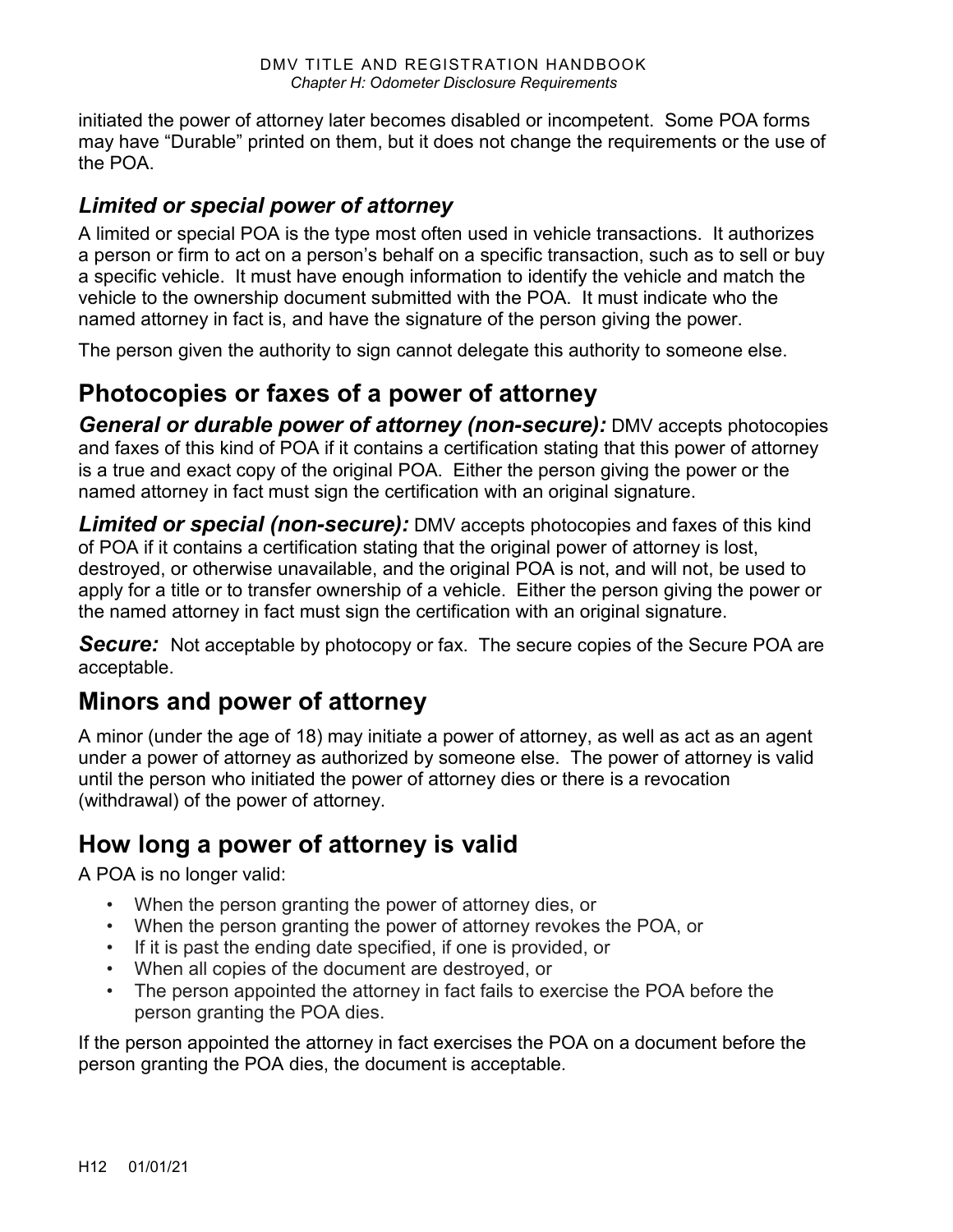initiated the power of attorney later becomes disabled or incompetent. Some POA forms may have "Durable" printed on them, but it does not change the requirements or the use of the POA.

## *Limited or special power of attorney*

A limited or special POA is the type most often used in vehicle transactions. It authorizes a person or firm to act on a person's behalf on a specific transaction, such as to sell or buy a specific vehicle. It must have enough information to identify the vehicle and match the vehicle to the ownership document submitted with the POA. It must indicate who the named attorney in fact is, and have the signature of the person giving the power.

The person given the authority to sign cannot delegate this authority to someone else.

## **Photocopies or faxes of a power of attorney**

*General or durable power of attorney (non-secure):* DMV accepts photocopies and faxes of this kind of POA if it contains a certification stating that this power of attorney is a true and exact copy of the original POA. Either the person giving the power or the named attorney in fact must sign the certification with an original signature.

*Limited or special (non-secure):* DMV accepts photocopies and faxes of this kind of POA if it contains a certification stating that the original power of attorney is lost, destroyed, or otherwise unavailable, and the original POA is not, and will not, be used to apply for a title or to transfer ownership of a vehicle. Either the person giving the power or the named attorney in fact must sign the certification with an original signature.

**Secure:** Not acceptable by photocopy or fax. The secure copies of the Secure POA are acceptable.

## **Minors and power of attorney**

A minor (under the age of 18) may initiate a power of attorney, as well as act as an agent under a power of attorney as authorized by someone else. The power of attorney is valid until the person who initiated the power of attorney dies or there is a revocation (withdrawal) of the power of attorney.

## **How long a power of attorney is valid**

A POA is no longer valid:

- When the person granting the power of attorney dies, or
- When the person granting the power of attorney revokes the POA, or
- If it is past the ending date specified, if one is provided, or
- When all copies of the document are destroyed, or
- The person appointed the attorney in fact fails to exercise the POA before the person granting the POA dies.

If the person appointed the attorney in fact exercises the POA on a document before the person granting the POA dies, the document is acceptable.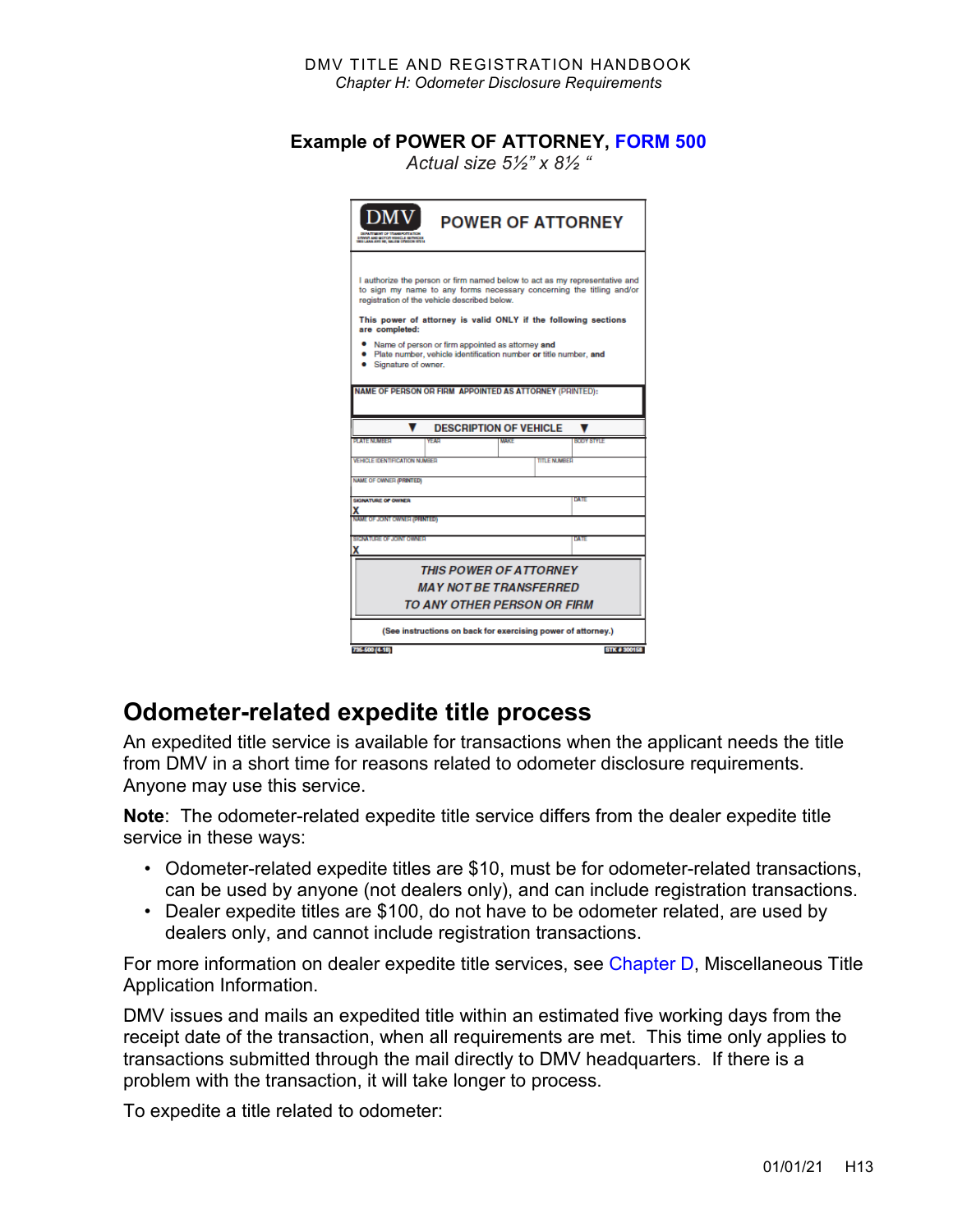#### **Example of POWER OF ATTORNEY, [FORM 500](https://www.odot.state.or.us/forms/dmv/500fill.pdf)**

*Actual size 5½" x 8½ "*

| <b>DMV</b><br><b>DOOR AND MOTOR VINAGES BETWEEN</b>                                                                                                                                                                                                                  | <b>POWER OF ATTORNEY</b>      |              |  |  |  |
|----------------------------------------------------------------------------------------------------------------------------------------------------------------------------------------------------------------------------------------------------------------------|-------------------------------|--------------|--|--|--|
| I authorize the person or firm named below to act as my representative and<br>to sign my name to any forms necessary concerning the titling and/or<br>registration of the vehicle described below.<br>This power of attorney is valid ONLY if the following sections |                               |              |  |  |  |
| are completed:<br>Name of person or firm appointed as attorney and<br>· Plate number, vehicle identification number or title number, and<br>Signature of owner.                                                                                                      |                               |              |  |  |  |
| NAME OF PERSON OR FIRM APPOINTED AS ATTORNEY (PRINTED):                                                                                                                                                                                                              |                               |              |  |  |  |
|                                                                                                                                                                                                                                                                      | <b>DESCRIPTION OF VEHICLE</b> |              |  |  |  |
| <b>BLATE NEMBER</b><br><b>YEAR</b>                                                                                                                                                                                                                                   | <b>MADE:</b>                  | BOOY STYLE   |  |  |  |
| <b>VEHICLE IDENTIFICATION NUMBER</b>                                                                                                                                                                                                                                 | TITLE NLIMBED                 |              |  |  |  |
| <b>NAME OF OWNER (PRINTED)</b>                                                                                                                                                                                                                                       |                               |              |  |  |  |
| SIGNATURE OF OWNER                                                                                                                                                                                                                                                   |                               | DATE         |  |  |  |
| x<br><b>NAME OF JOINT OWNER (PRINTED)</b>                                                                                                                                                                                                                            |                               |              |  |  |  |
| <b>SIGNATURE OF JOINT OWNER</b>                                                                                                                                                                                                                                      |                               | DATE         |  |  |  |
| x                                                                                                                                                                                                                                                                    |                               |              |  |  |  |
| <b>THIS POWER OF ATTORNEY</b>                                                                                                                                                                                                                                        |                               |              |  |  |  |
| <b>MAY NOT BE TRANSFERRED</b>                                                                                                                                                                                                                                        |                               |              |  |  |  |
| TO ANY OTHER PERSON OR FIRM                                                                                                                                                                                                                                          |                               |              |  |  |  |
| (See instructions on back for exercising power of attorney.)                                                                                                                                                                                                         |                               |              |  |  |  |
| 735-500 (4-18)                                                                                                                                                                                                                                                       |                               | STK # 300158 |  |  |  |

## **Odometer-related expedite title process**

An expedited title service is available for transactions when the applicant needs the title from DMV in a short time for reasons related to odometer disclosure requirements. Anyone may use this service.

**Note**: The odometer-related expedite title service differs from the dealer expedite title service in these ways:

- Odometer-related expedite titles are \$10, must be for odometer-related transactions, can be used by anyone (not dealers only), and can include registration transactions.
- Dealer expedite titles are \$100, do not have to be odometer related, are used by dealers only, and cannot include registration transactions.

For more information on dealer expedite title services, see [Chapter D,](https://www.oregon.gov/ODOT/DMV/docs/vtrh/chapter_d.pdf) Miscellaneous Title Application Information.

DMV issues and mails an expedited title within an estimated five working days from the receipt date of the transaction, when all requirements are met. This time only applies to transactions submitted through the mail directly to DMV headquarters. If there is a problem with the transaction, it will take longer to process.

To expedite a title related to odometer: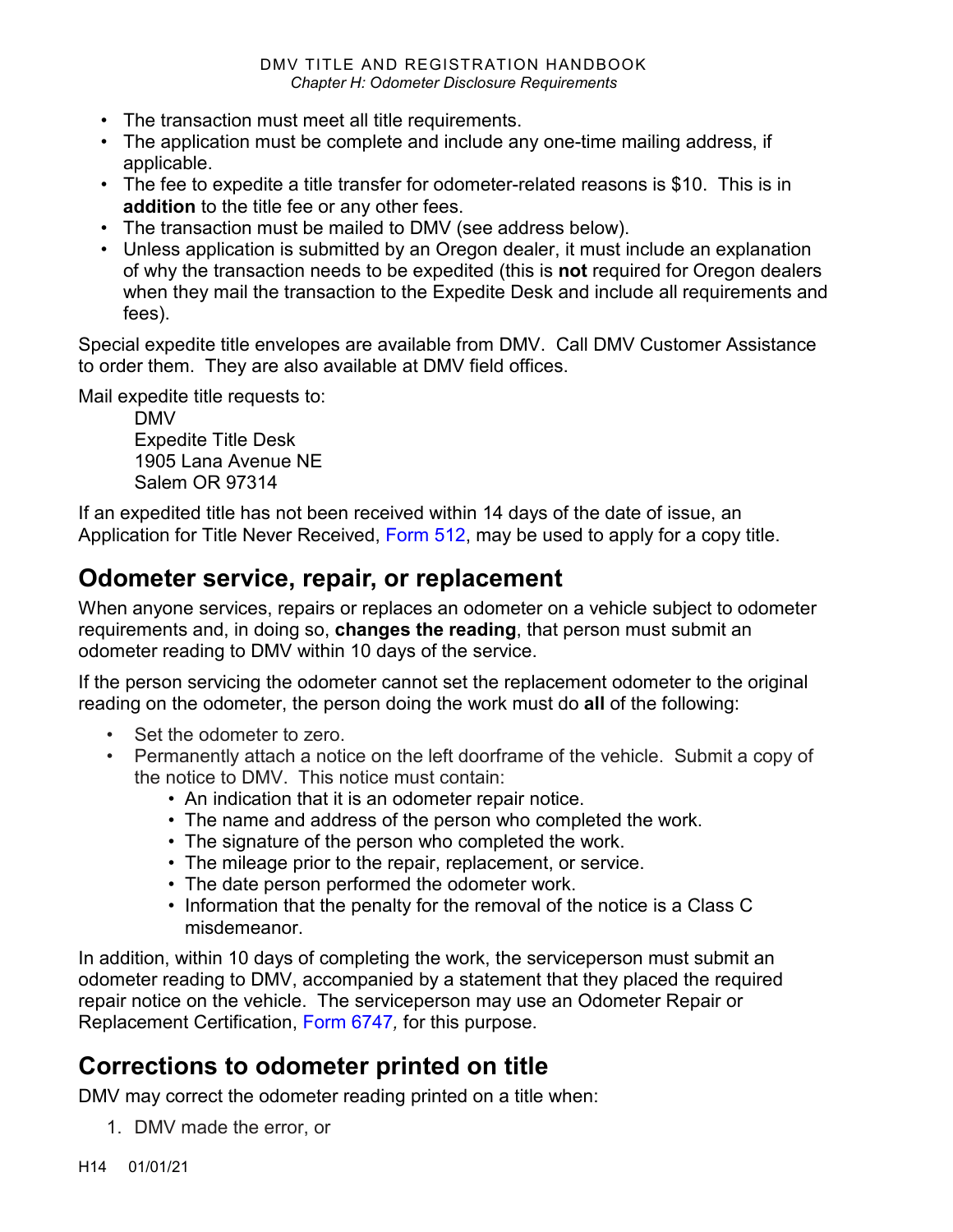- The transaction must meet all title requirements.
- The application must be complete and include any one-time mailing address, if applicable.
- The fee to expedite a title transfer for odometer-related reasons is \$10. This is in **addition** to the title fee or any other fees.
- The transaction must be mailed to DMV (see address below).
- Unless application is submitted by an Oregon dealer, it must include an explanation of why the transaction needs to be expedited (this is **not** required for Oregon dealers when they mail the transaction to the Expedite Desk and include all requirements and fees).

Special expedite title envelopes are available from DMV. Call DMV Customer Assistance to order them. They are also available at DMV field offices.

Mail expedite title requests to:

DMV Expedite Title Desk 1905 Lana Avenue NE Salem OR 97314

If an expedited title has not been received within 14 days of the date of issue, an Application for Title Never Received, [Form 512,](https://www.odot.state.or.us/forms/dmv/512fill.pdf) may be used to apply for a copy title.

## **Odometer service, repair, or replacement**

When anyone services, repairs or replaces an odometer on a vehicle subject to odometer requirements and, in doing so, **changes the reading**, that person must submit an odometer reading to DMV within 10 days of the service.

If the person servicing the odometer cannot set the replacement odometer to the original reading on the odometer, the person doing the work must do **all** of the following:

- Set the odometer to zero.
- Permanently attach a notice on the left doorframe of the vehicle. Submit a copy of the notice to DMV. This notice must contain:
	- An indication that it is an odometer repair notice.
	- The name and address of the person who completed the work.
	- The signature of the person who completed the work.
	- The mileage prior to the repair, replacement, or service.
	- The date person performed the odometer work.
	- Information that the penalty for the removal of the notice is a Class C misdemeanor.

In addition, within 10 days of completing the work, the serviceperson must submit an odometer reading to DMV, accompanied by a statement that they placed the required repair notice on the vehicle. The serviceperson may use an Odometer Repair or Replacement Certification, [Form 6747](https://www.odot.state.or.us/forms/dmv/6747fill.pdf)*,* for this purpose.

## **Corrections to odometer printed on title**

DMV may correct the odometer reading printed on a title when:

1. DMV made the error, or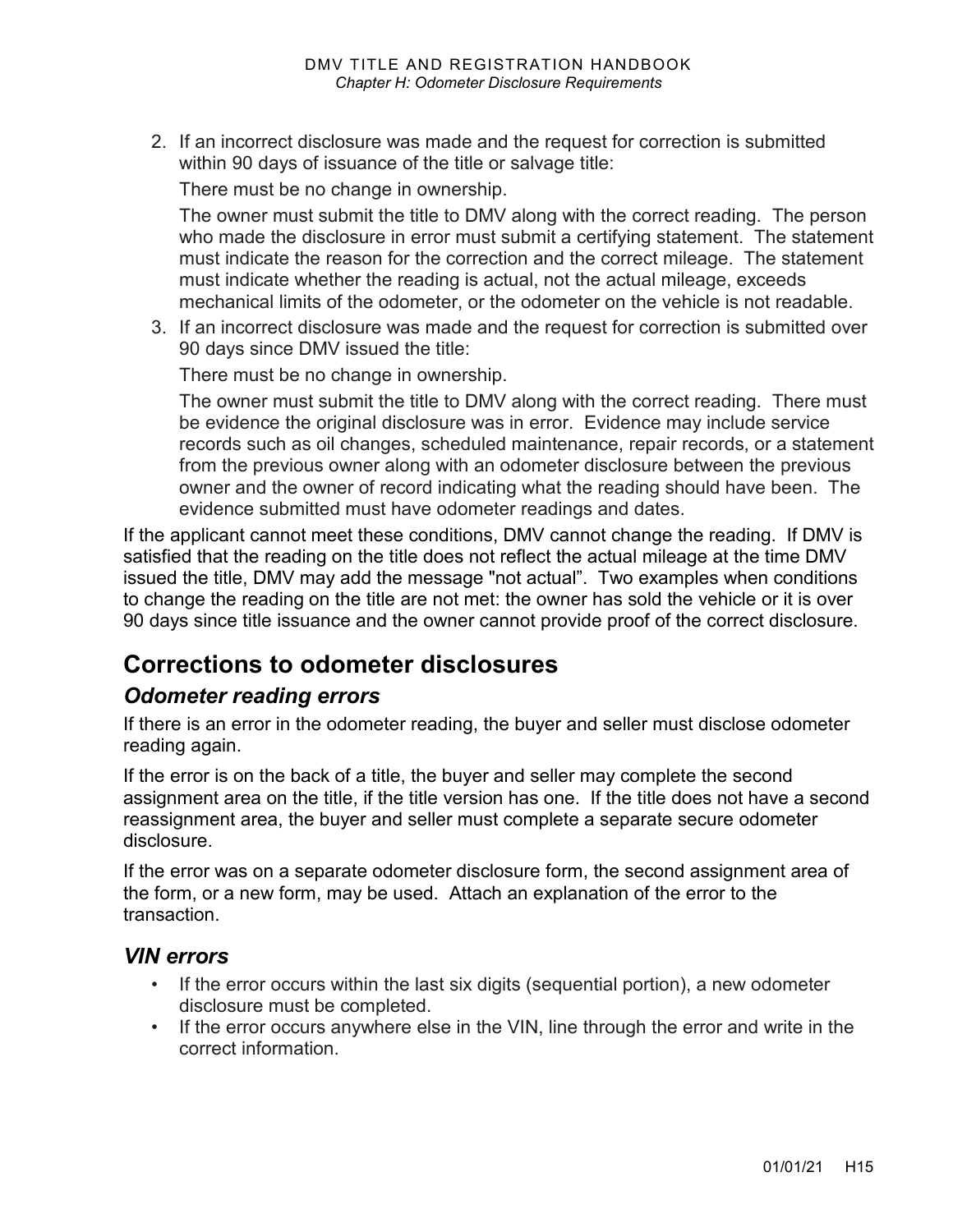2. If an incorrect disclosure was made and the request for correction is submitted within 90 days of issuance of the title or salvage title:

There must be no change in ownership.

The owner must submit the title to DMV along with the correct reading. The person who made the disclosure in error must submit a certifying statement. The statement must indicate the reason for the correction and the correct mileage. The statement must indicate whether the reading is actual, not the actual mileage, exceeds mechanical limits of the odometer, or the odometer on the vehicle is not readable.

3. If an incorrect disclosure was made and the request for correction is submitted over 90 days since DMV issued the title:

There must be no change in ownership.

The owner must submit the title to DMV along with the correct reading. There must be evidence the original disclosure was in error. Evidence may include service records such as oil changes, scheduled maintenance, repair records, or a statement from the previous owner along with an odometer disclosure between the previous owner and the owner of record indicating what the reading should have been. The evidence submitted must have odometer readings and dates.

If the applicant cannot meet these conditions, DMV cannot change the reading. If DMV is satisfied that the reading on the title does not reflect the actual mileage at the time DMV issued the title, DMV may add the message "not actual". Two examples when conditions to change the reading on the title are not met: the owner has sold the vehicle or it is over 90 days since title issuance and the owner cannot provide proof of the correct disclosure.

## **Corrections to odometer disclosures**

### *Odometer reading errors*

If there is an error in the odometer reading, the buyer and seller must disclose odometer reading again.

If the error is on the back of a title, the buyer and seller may complete the second assignment area on the title, if the title version has one. If the title does not have a second reassignment area, the buyer and seller must complete a separate secure odometer disclosure.

If the error was on a separate odometer disclosure form, the second assignment area of the form, or a new form, may be used. Attach an explanation of the error to the transaction.

#### *VIN errors*

- If the error occurs within the last six digits (sequential portion), a new odometer disclosure must be completed.
- If the error occurs anywhere else in the VIN, line through the error and write in the correct information.